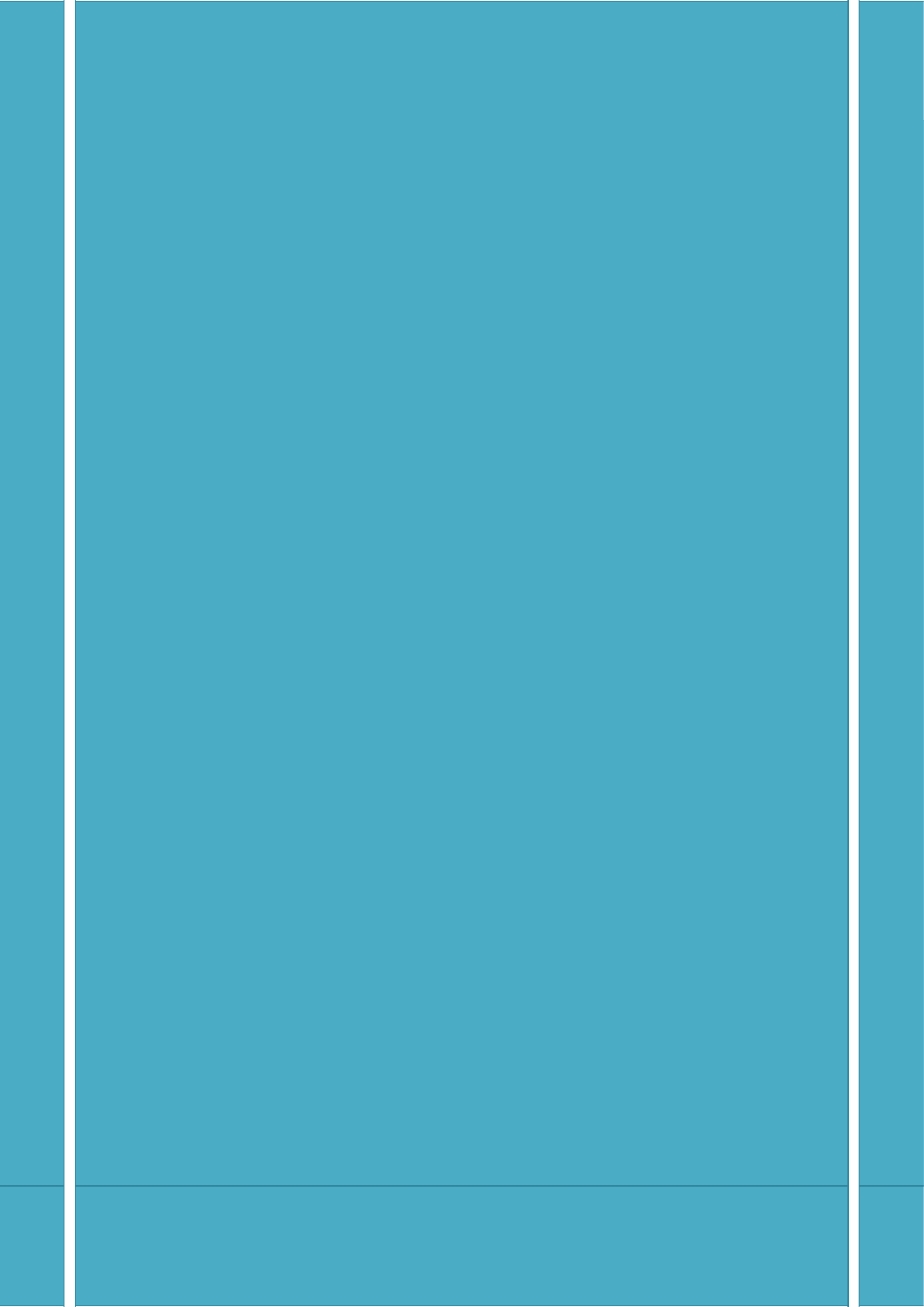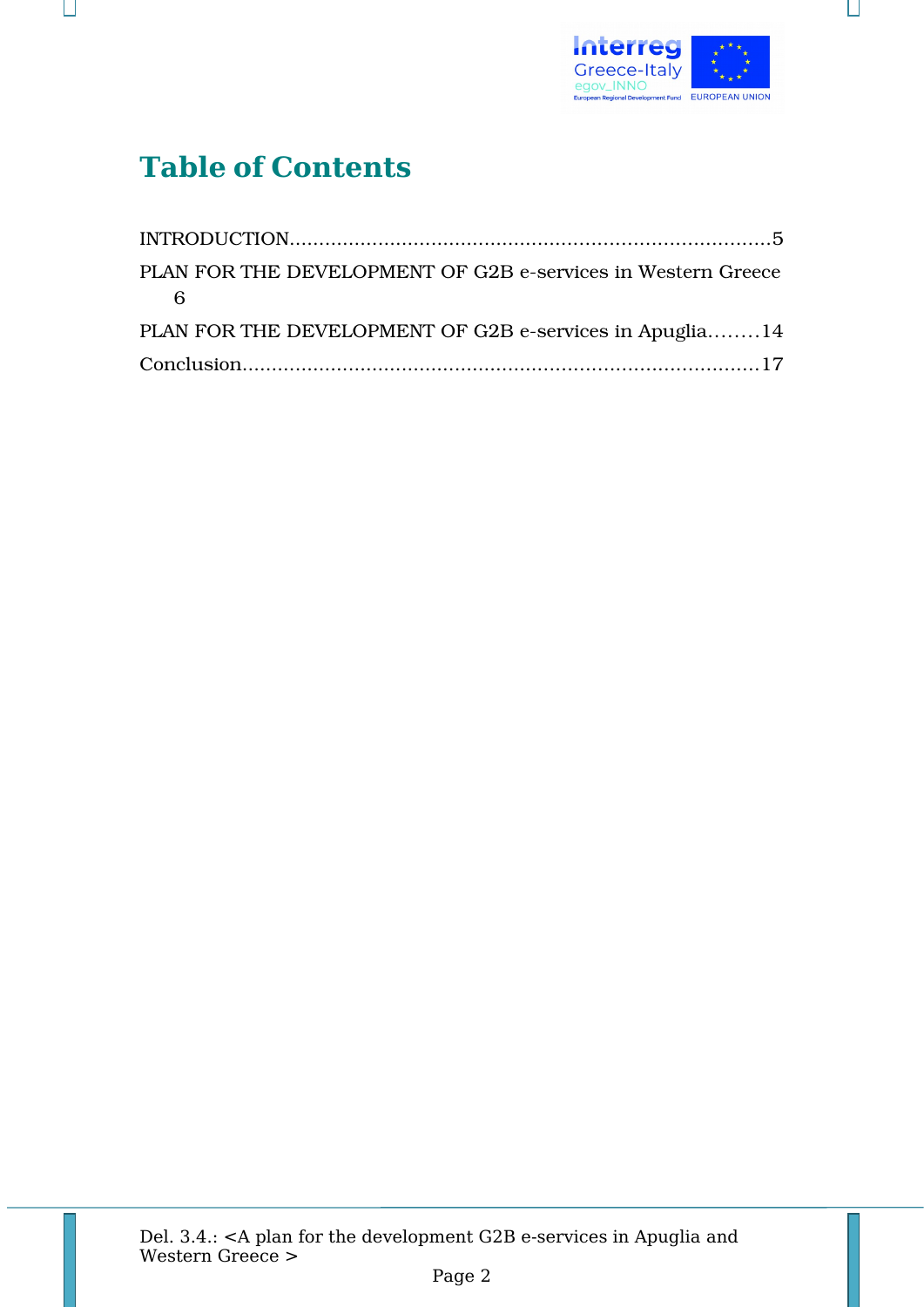

 $\Box$ 

# **Table of Contents**

Ш

| PLAN FOR THE DEVELOPMENT OF G2B e-services in Western Greece<br>- 6 |
|---------------------------------------------------------------------|
| PLAN FOR THE DEVELOPMENT OF G2B e-services in Apuglia14             |
|                                                                     |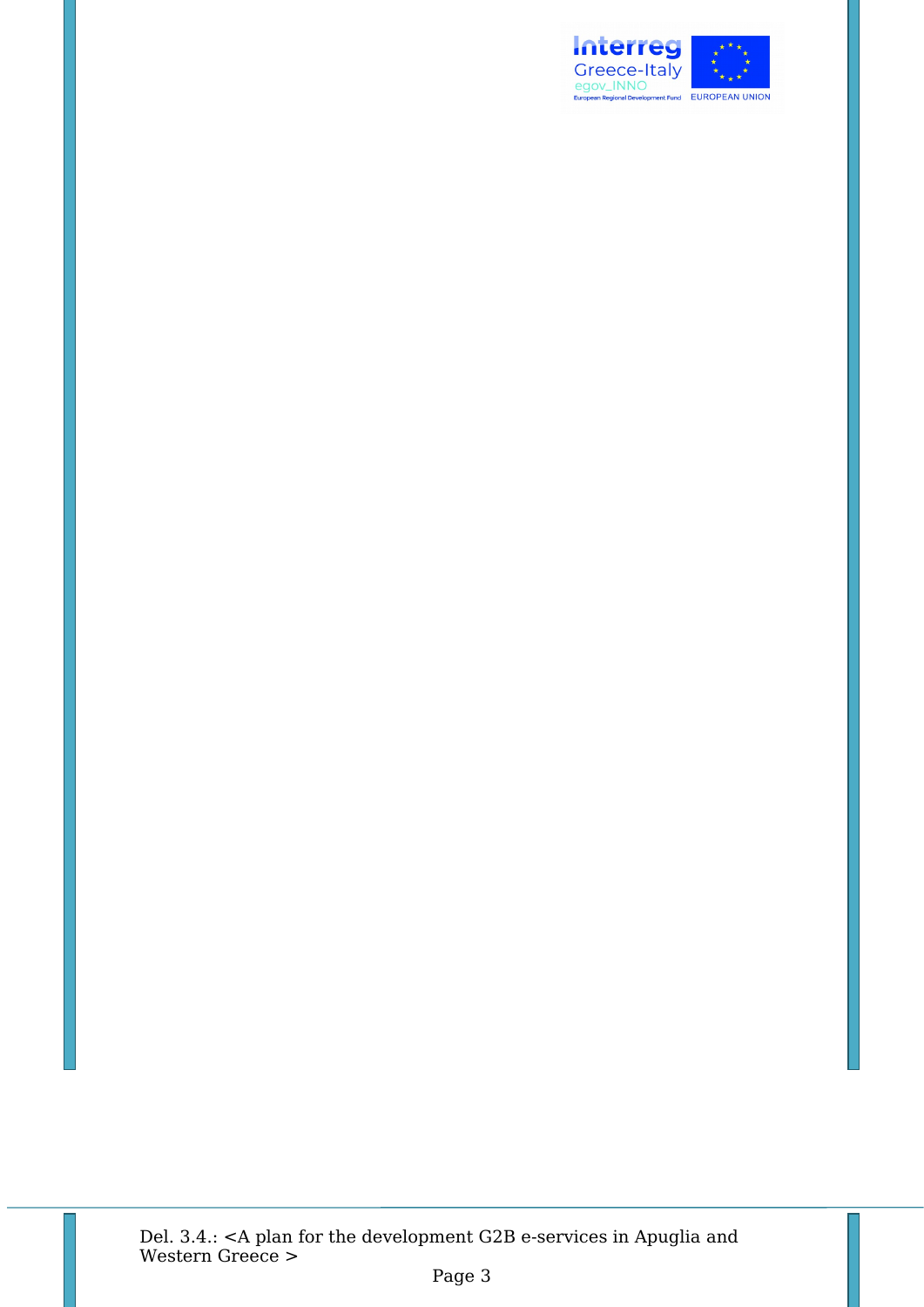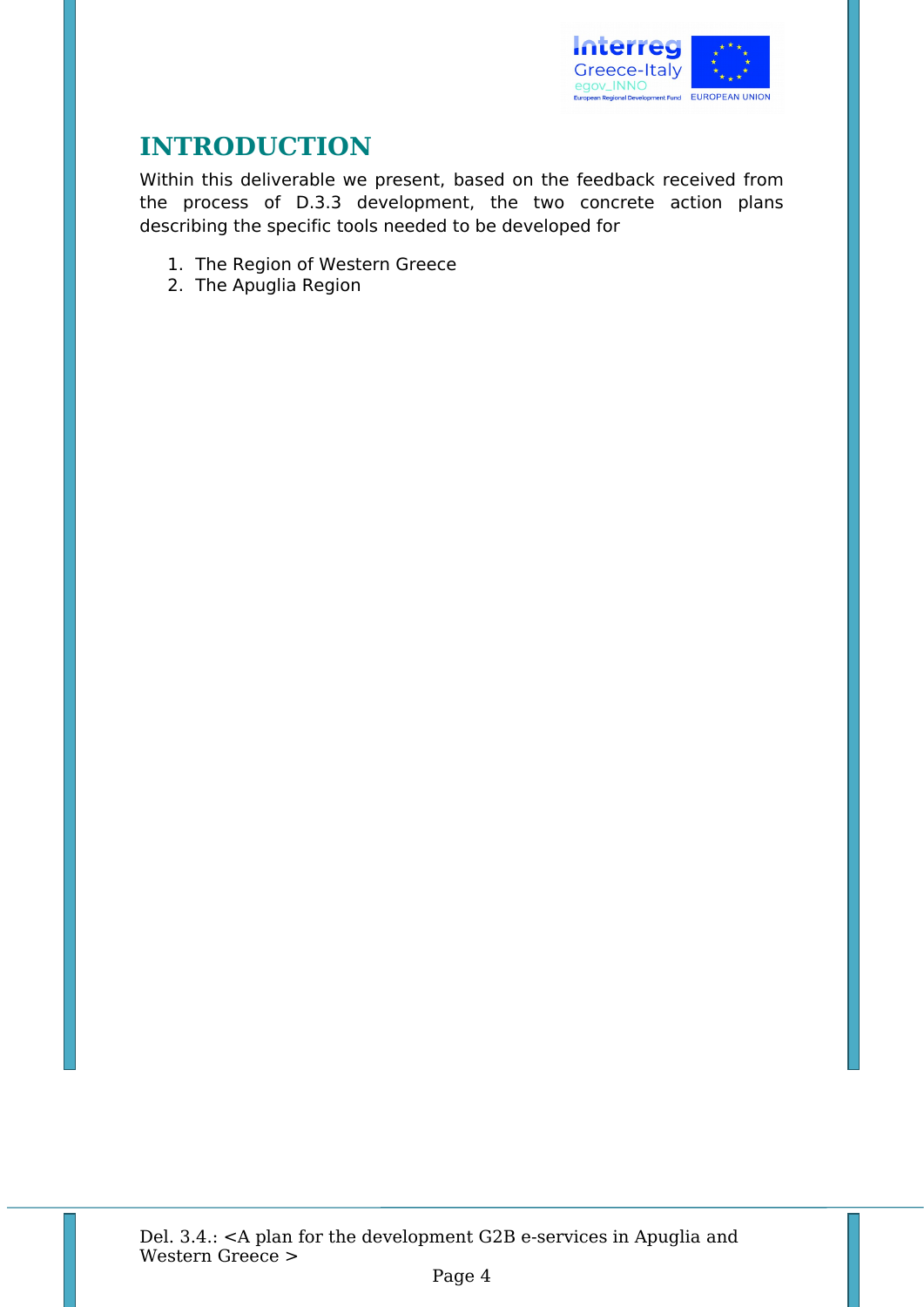

## <span id="page-3-0"></span>**INTRODUCTION**

Within this deliverable we present, based on the feedback received from the process of D.3.3 development, the two concrete action plans describing the specific tools needed to be developed for

- 1. The Region of Western Greece
- 2. The Apuglia Region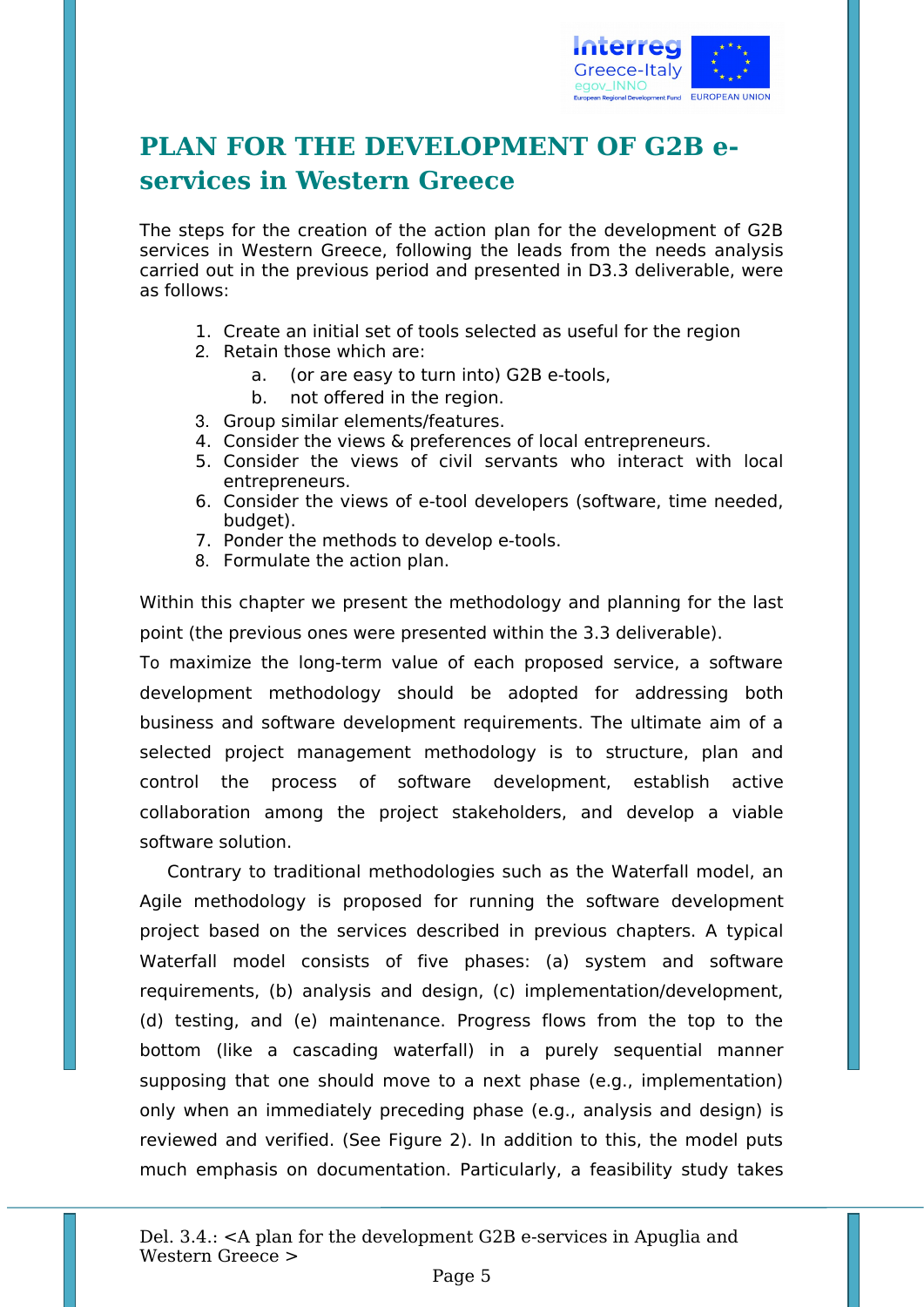

## <span id="page-4-0"></span>**PLAN FOR THE DEVELOPMENT OF G2B eservices in Western Greece**

The steps for the creation of the action plan for the development of G2B services in Western Greece, following the leads from the needs analysis carried out in the previous period and presented in D3.3 deliverable, were as follows:

- 1. Create an initial set of tools selected as useful for the region
- 2. Retain those which are:
	- a. (or are easy to turn into) G2B e-tools,
	- b. not offered in the region.
- 3. Group similar elements/features.
- 4. Consider the views & preferences of local entrepreneurs.
- 5. Consider the views of civil servants who interact with local entrepreneurs.
- 6. Consider the views of e-tool developers (software, time needed, budget).
- 7. Ponder the methods to develop e-tools.
- 8. Formulate the action plan.

Within this chapter we present the methodology and planning for the last point (the previous ones were presented within the 3.3 deliverable).

Το maximize the long-term value of each proposed service, a software development methodology should be adopted for addressing both business and software development requirements. The ultimate aim of a selected project management methodology is to structure, plan and control the process of software development, establish active collaboration among the project stakeholders, and develop a viable software solution.

Contrary to traditional methodologies such as the Waterfall model, an Agile methodology is proposed for running the software development project based on the services described in previous chapters. A typical Waterfall model consists of five phases: (a) system and software requirements, (b) analysis and design, (c) implementation/development, (d) testing, and (e) maintenance. Progress flows from the top to the bottom (like a cascading waterfall) in a purely sequential manner supposing that one should move to a next phase (e.g., implementation) only when an immediately preceding phase (e.g., analysis and design) is reviewed and verified. (See Figure 2). In addition to this, the model puts much emphasis on documentation. Particularly, a feasibility study takes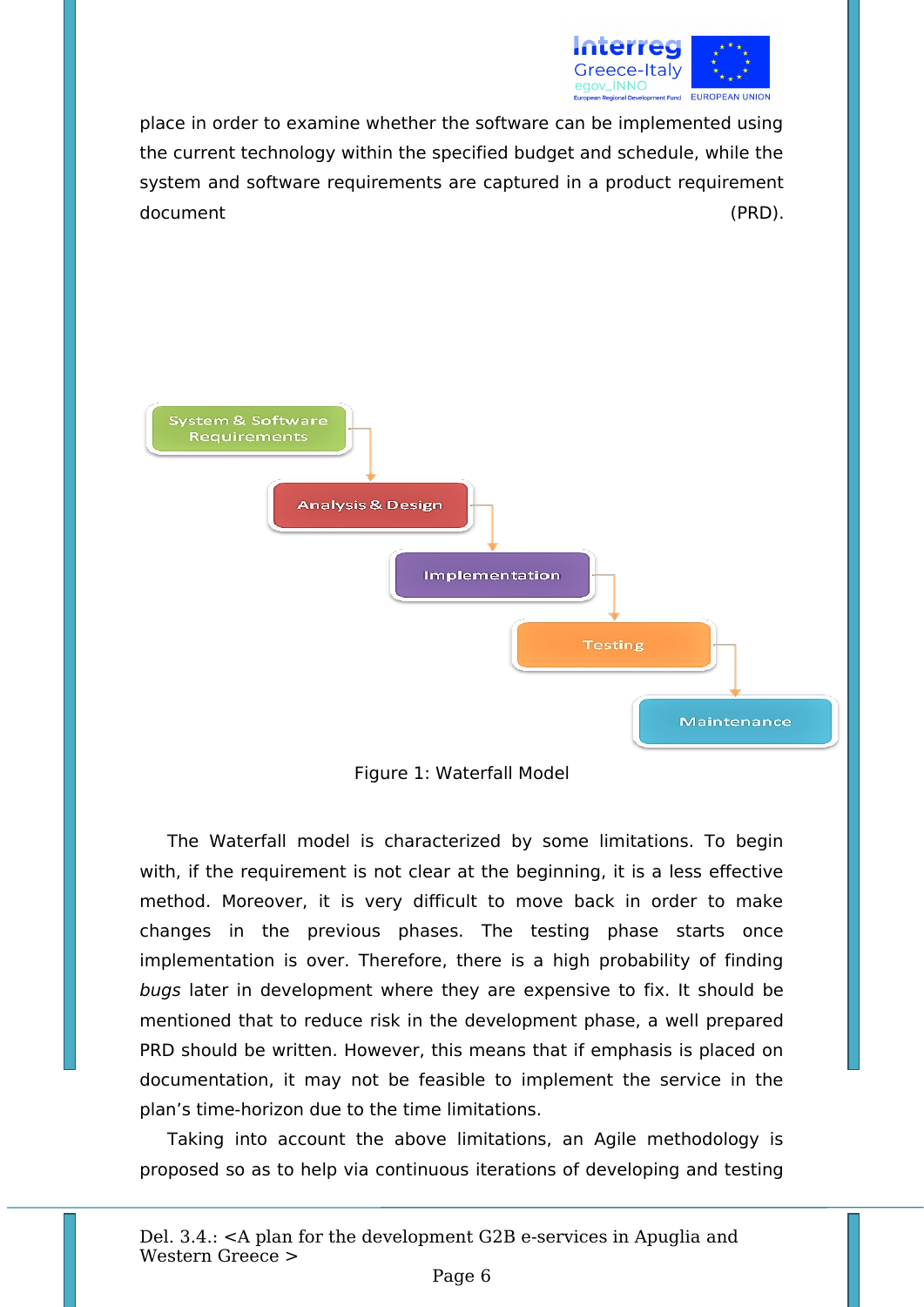

place in order to examine whether the software can be implemented using the current technology within the specified budget and schedule, while the system and software requirements are captured in a product requirement document (PRD).



Figure 1: Waterfall Model

The Waterfall model is characterized by some limitations. To begin with, if the requirement is not clear at the beginning, it is a less effective method. Moreover, it is very difficult to move back in order to make changes in the previous phases. The testing phase starts once implementation is over. Therefore, there is a high probability of finding bugs later in development where they are expensive to fix. It should be mentioned that to reduce risk in the development phase, a well prepared PRD should be written. However, this means that if emphasis is placed on documentation, it may not be feasible to implement the service in the plan's time-horizon due to the time limitations.

Taking into account the above limitations, an Agile methodology is proposed so as to help via continuous iterations of developing and testing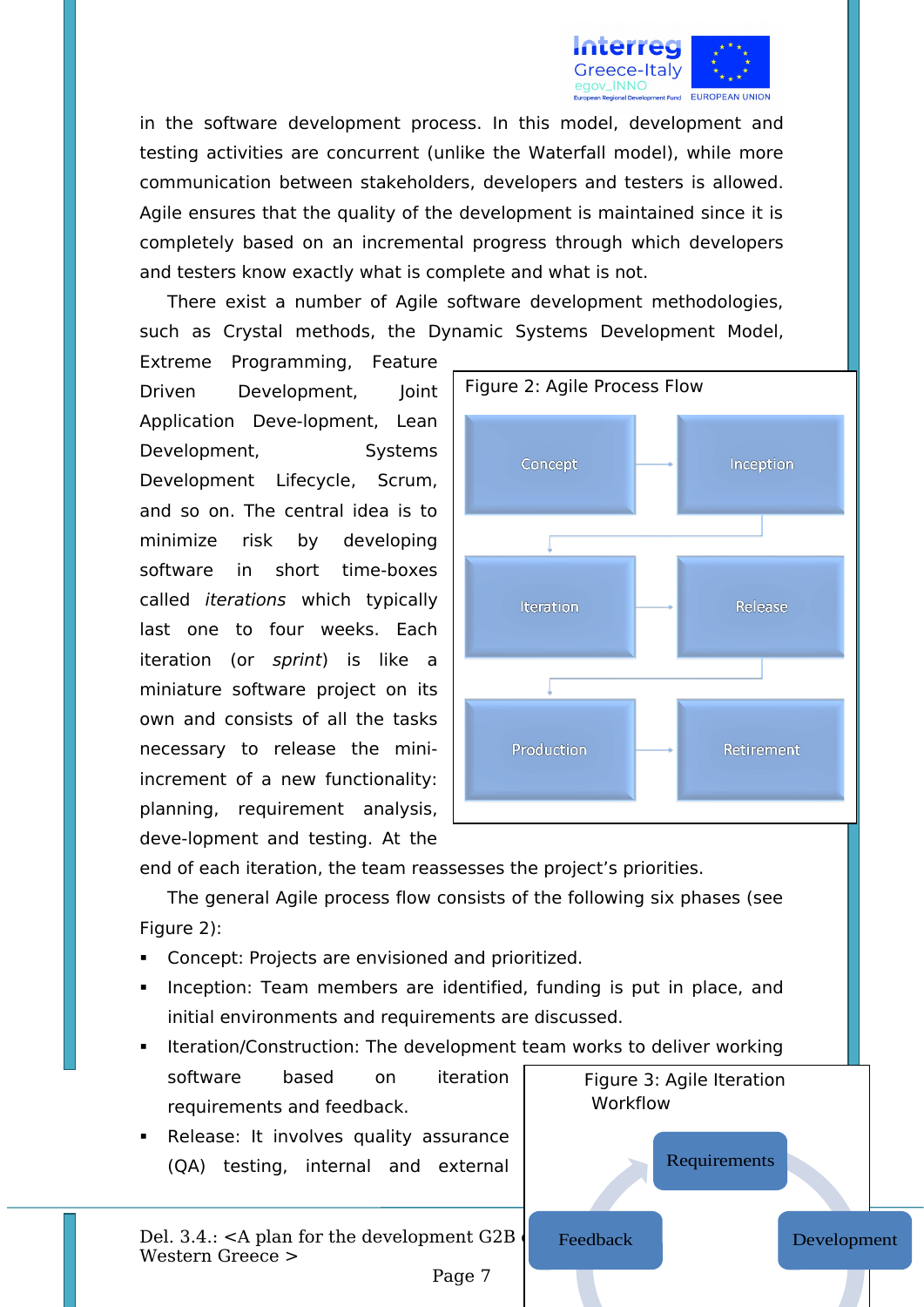

in the software development process. In this model, development and testing activities are concurrent (unlike the Waterfall model), while more communication between stakeholders, developers and testers is allowed. Agile ensures that the quality of the development is maintained since it is completely based on an incremental progress through which developers and testers know exactly what is complete and what is not.

There exist a number of Agile software development methodologies, such as Crystal methods, the Dynamic Systems Development Model,

Extreme Programming, Feature Driven Development, Joint Application Deve-lopment, Lean Development, Systems Development Lifecycle, Scrum, and so on. The central idea is to minimize risk by developing software in short time-boxes called iterations which typically last one to four weeks. Each iteration (or sprint) is like a miniature software project on its own and consists of all the tasks necessary to release the miniincrement of a new functionality: planning, requirement analysis, deve-lopment and testing. At the



end of each iteration, the team reassesses the project's priorities.

The general Agile process flow consists of the following six phases (see Figure 2):

- **Concept: Projects are envisioned and prioritized.**
- Inception: Team members are identified, funding is put in place, and initial environments and requirements are discussed.



 Release: It involves quality assurance (QA) testing, internal and external

Del.  $3.4$ .:  $\leq$ A plan for the development G2B Western Greece > Page 7

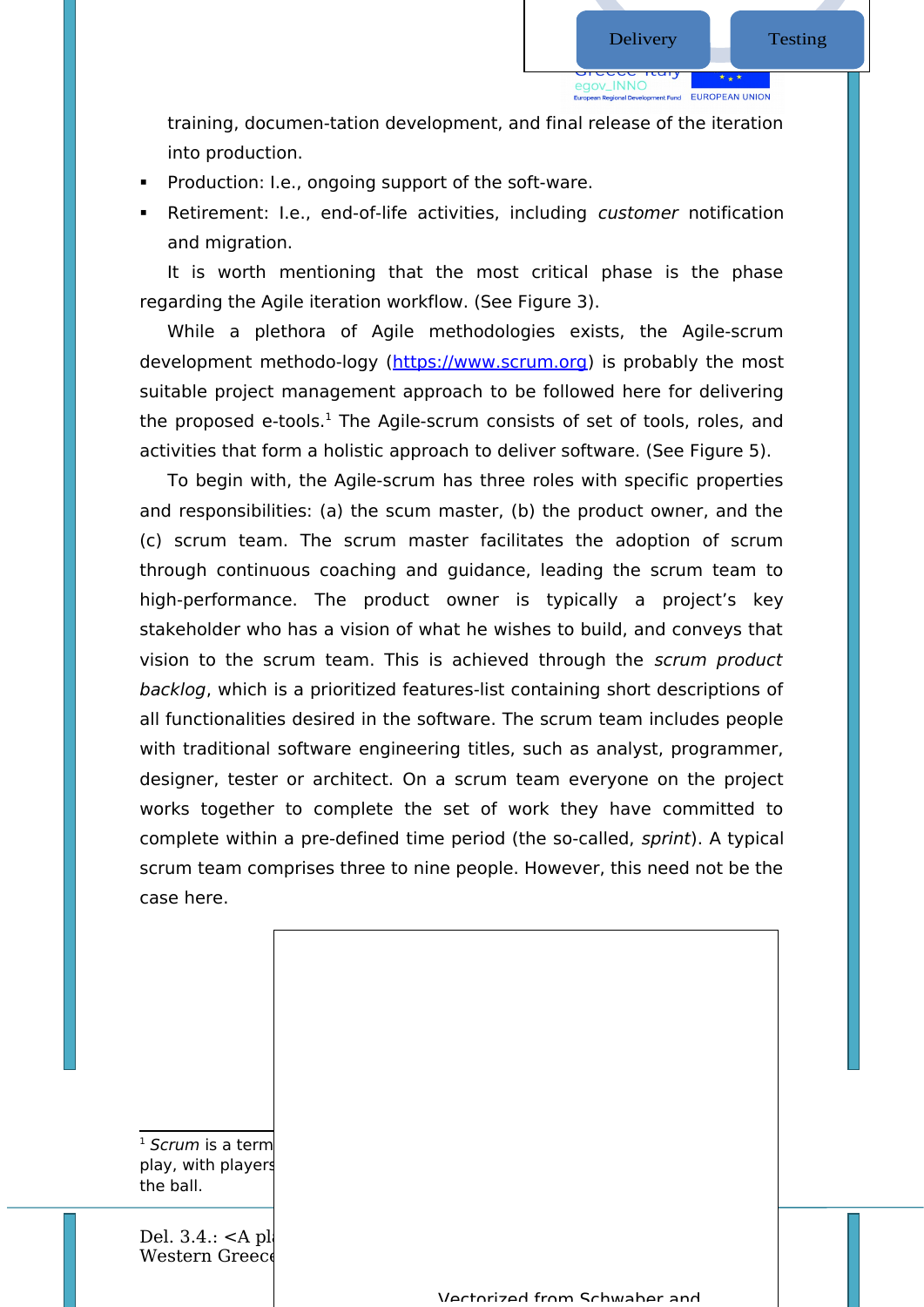training, documen-tation development, and final release of the iteration into production.

- **Production: I.e., ongoing support of the soft-ware.**
- **Retirement: I.e., end-of-life activities, including customer notification** and migration.

It is worth mentioning that the most critical phase is the phase regarding the Agile iteration workflow. (See Figure 3).

While a plethora of Agile methodologies exists, the Agile-scrum development methodo-logy [\(https://www.scrum.org\)](https://www.scrum.org/) is probably the most suitable project management approach to be followed here for delivering the proposed e-tools.<sup>[1](#page-7-0)</sup> The Agile-scrum consists of set of tools, roles, and activities that form a holistic approach to deliver software. (See Figure 5).

To begin with, the Agile-scrum has three roles with specific properties and responsibilities: (a) the scum master, (b) the product owner, and the (c) scrum team. The scrum master facilitates the adoption of scrum through continuous coaching and guidance, leading the scrum team to high-performance. The product owner is typically a project's key stakeholder who has a vision of what he wishes to build, and conveys that vision to the scrum team. This is achieved through the scrum product backlog, which is a prioritized features-list containing short descriptions of all functionalities desired in the software. The scrum team includes people with traditional software engineering titles, such as analyst, programmer, designer, tester or architect. On a scrum team everyone on the project works together to complete the set of work they have committed to complete within a pre-defined time period (the so-called, sprint). A typical scrum team comprises three to nine people. However, this need not be the case here.

<span id="page-7-0"></span> $1$  Scrum is a term play, with players the ball.

Del.  $3.4$ .:  $\leq$ A pl Western Greece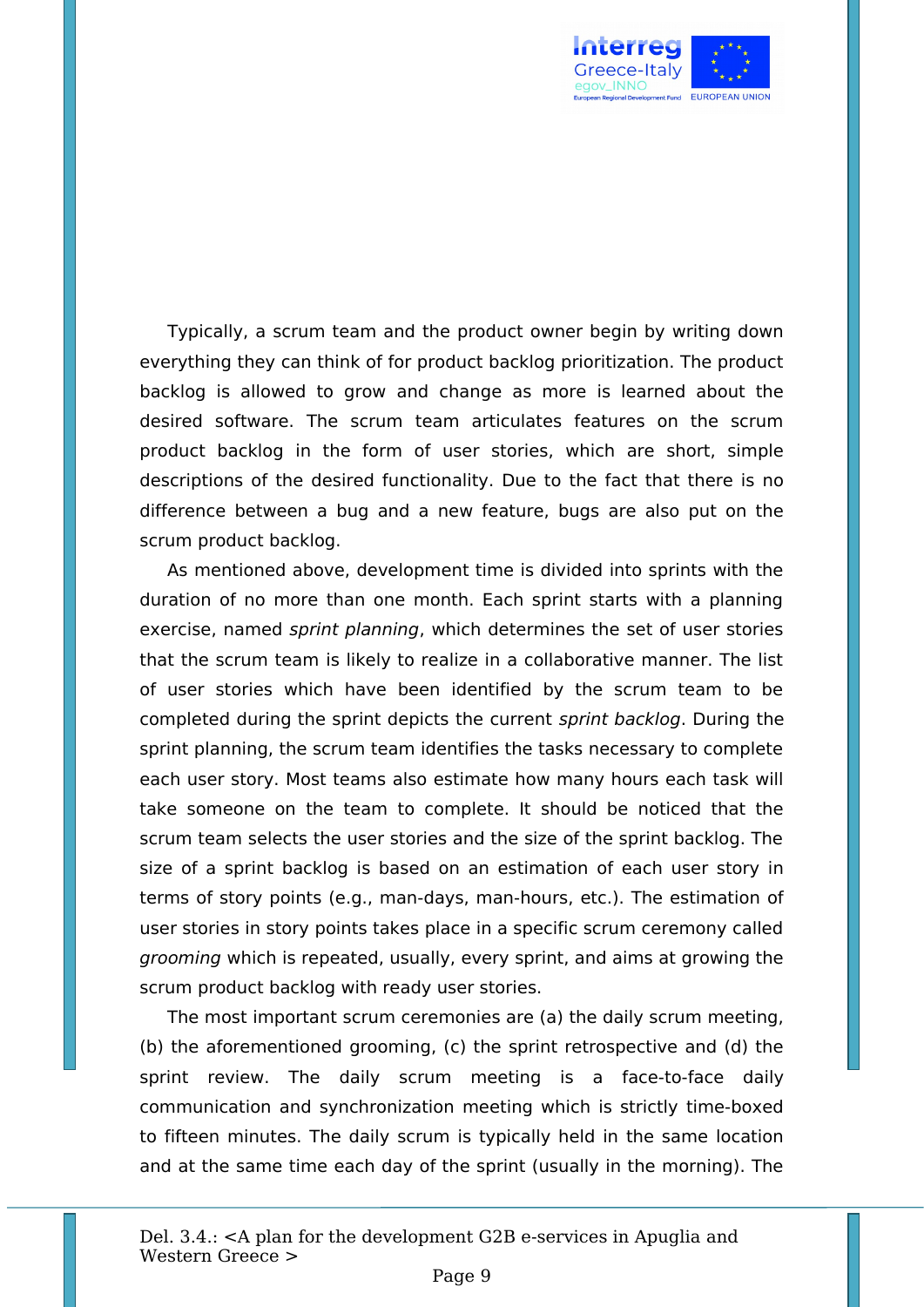

Typically, a scrum team and the product owner begin by writing down everything they can think of for product backlog prioritization. The product backlog is allowed to grow and change as more is learned about the desired software. The scrum team articulates features on the scrum product backlog in the form of user stories, which are short, simple descriptions of the desired functionality. Due to the fact that there is no difference between a bug and a new feature, bugs are also put on the scrum product backlog.

As mentioned above, development time is divided into sprints with the duration of no more than one month. Each sprint starts with a planning exercise, named sprint planning, which determines the set of user stories that the scrum team is likely to realize in a collaborative manner. The list of user stories which have been identified by the scrum team to be completed during the sprint depicts the current sprint backlog. During the sprint planning, the scrum team identifies the tasks necessary to complete each user story. Most teams also estimate how many hours each task will take someone on the team to complete. It should be noticed that the scrum team selects the user stories and the size of the sprint backlog. The size of a sprint backlog is based on an estimation of each user story in terms of story points (e.g., man-days, man-hours, etc.). The estimation of user stories in story points takes place in a specific scrum ceremony called grooming which is repeated, usually, every sprint, and aims at growing the scrum product backlog with ready user stories.

The most important scrum ceremonies are (a) the daily scrum meeting, (b) the aforementioned grooming, (c) the sprint retrospective and (d) the sprint review. The daily scrum meeting is a face-to-face daily communication and synchronization meeting which is strictly time-boxed to fifteen minutes. The daily scrum is typically held in the same location and at the same time each day of the sprint (usually in the morning). The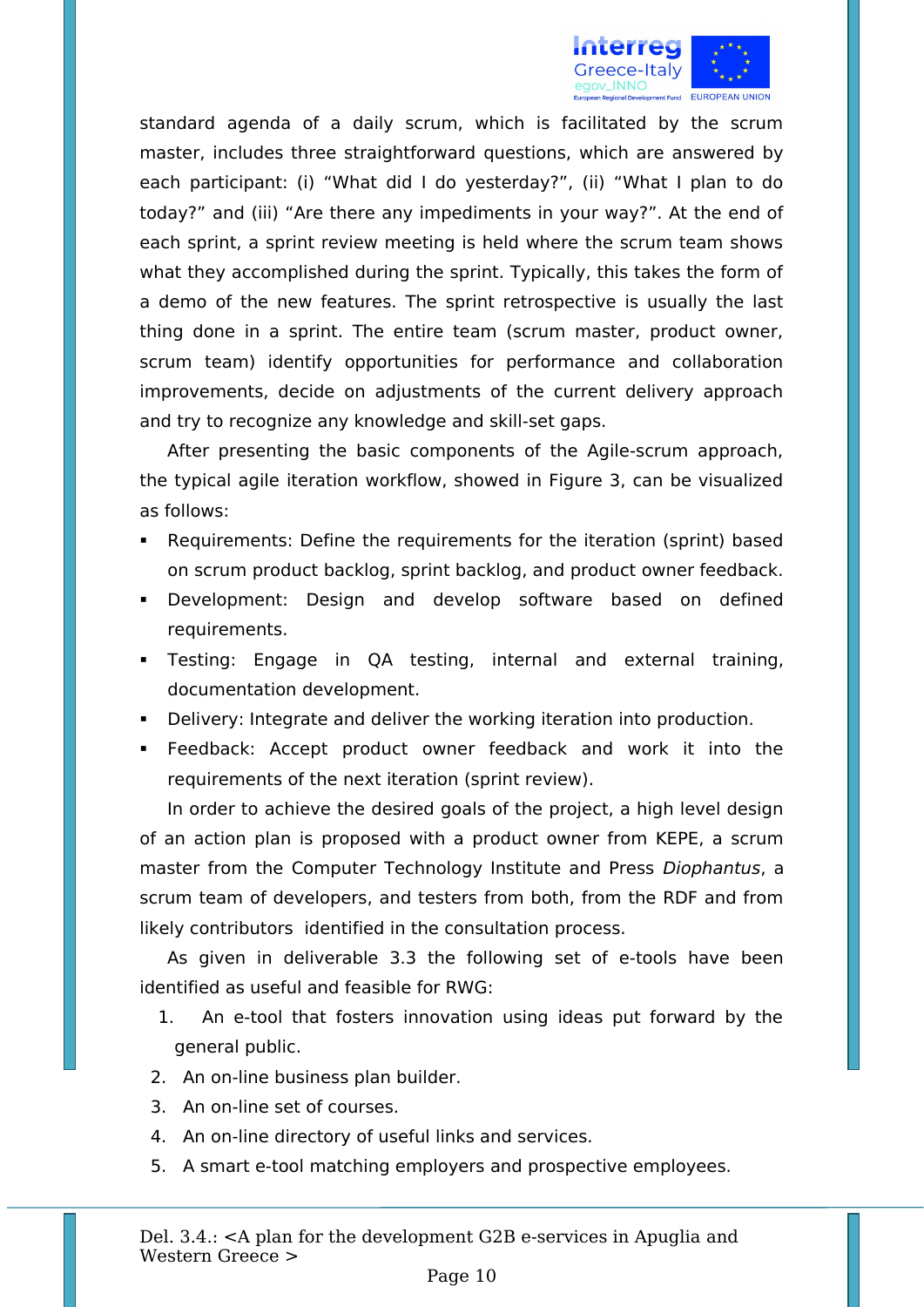

standard agenda of a daily scrum, which is facilitated by the scrum master, includes three straightforward questions, which are answered by each participant: (i) "What did I do yesterday?", (ii) "What I plan to do today?" and (iii) "Are there any impediments in your way?". At the end of each sprint, a sprint review meeting is held where the scrum team shows what they accomplished during the sprint. Typically, this takes the form of a demo of the new features. The sprint retrospective is usually the last thing done in a sprint. The entire team (scrum master, product owner, scrum team) identify opportunities for performance and collaboration improvements, decide on adjustments of the current delivery approach and try to recognize any knowledge and skill-set gaps.

After presenting the basic components of the Agile-scrum approach, the typical agile iteration workflow, showed in Figure 3, can be visualized as follows:

- Requirements: Define the requirements for the iteration (sprint) based on scrum product backlog, sprint backlog, and product owner feedback.
- Development: Design and develop software based on defined requirements.
- Testing: Engage in QA testing, internal and external training, documentation development.
- Delivery: Integrate and deliver the working iteration into production.
- Feedback: Accept product owner feedback and work it into the requirements of the next iteration (sprint review).

In order to achieve the desired goals of the project, a high level design of an action plan is proposed with a product owner from KEPE, a scrum master from the Computer Technology Institute and Press Diophantus, a scrum team of developers, and testers from both, from the RDF and from likely contributors identified in the consultation process.

As given in deliverable 3.3 the following set of e-tools have been identified as useful and feasible for RWG:

- 1. An e-tool that fosters innovation using ideas put forward by the general public.
- 2. An on-line business plan builder.
- 3. An on-line set of courses.
- 4. An on-line directory of useful links and services.
- 5. A smart e-tool matching employers and prospective employees.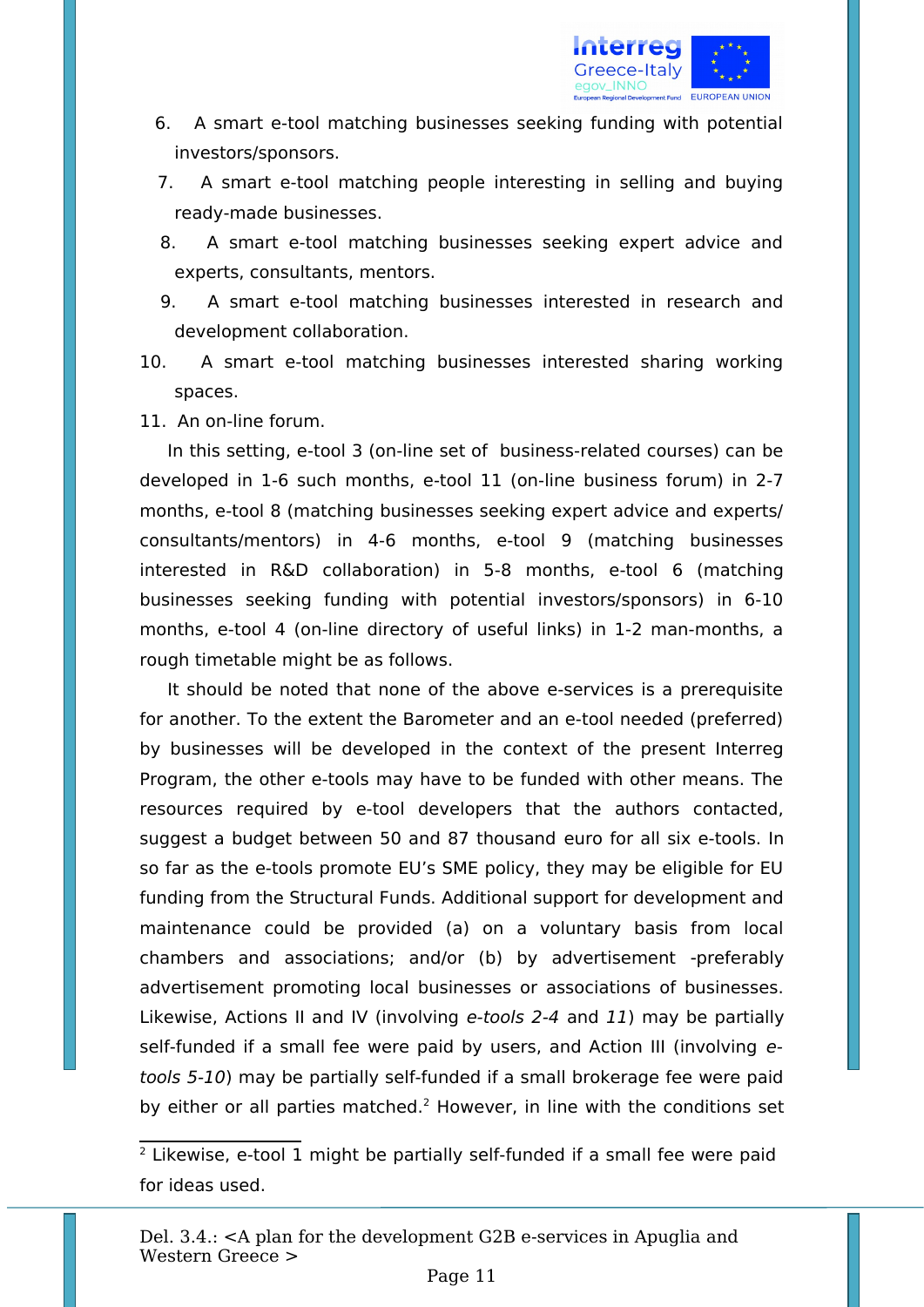

- 6. A smart e-tool matching businesses seeking funding with potential investors/sponsors.
- 7. A smart e-tool matching people interesting in selling and buying ready-made businesses.
- 8. A smart e-tool matching businesses seeking expert advice and experts, consultants, mentors.
- 9. A smart e-tool matching businesses interested in research and development collaboration.
- 10. A smart e-tool matching businesses interested sharing working spaces.
- 11. An on-line forum.

In this setting, e-tool 3 (on-line set of business-related courses) can be developed in 1-6 such months, e-tool 11 (on-line business forum) in 2-7 months, e-tool 8 (matching businesses seeking expert advice and experts/ consultants/mentors) in 4-6 months, e-tool 9 (matching businesses interested in R&D collaboration) in 5-8 months, e-tool 6 (matching businesses seeking funding with potential investors/sponsors) in 6-10 months, e-tool 4 (on-line directory of useful links) in 1-2 man-months, a rough timetable might be as follows.

It should be noted that none of the above e-services is a prerequisite for another. To the extent the Barometer and an e-tool needed (preferred) by businesses will be developed in the context of the present Interreg Program, the other e-tools may have to be funded with other means. The resources required by e-tool developers that the authors contacted, suggest a budget between 50 and 87 thousand euro for all six e-tools. In so far as the e-tools promote EU's SME policy, they may be eligible for EU funding from the Structural Funds. Additional support for development and maintenance could be provided (a) on a voluntary basis from local chambers and associations; and/or (b) by advertisement -preferably advertisement promoting local businesses or associations of businesses. Likewise, Actions II and IV (involving e-tools 2-4 and 11) may be partially self-funded if a small fee were paid by users, and Action III (involving etools 5-10) may be partially self-funded if a small brokerage fee were paid by either or all parties matched.<sup>[2](#page-10-0)</sup> However, in line with the conditions set

<span id="page-10-0"></span><sup>&</sup>lt;sup>2</sup> Likewise, e-tool 1 might be partially self-funded if a small fee were paid for ideas used.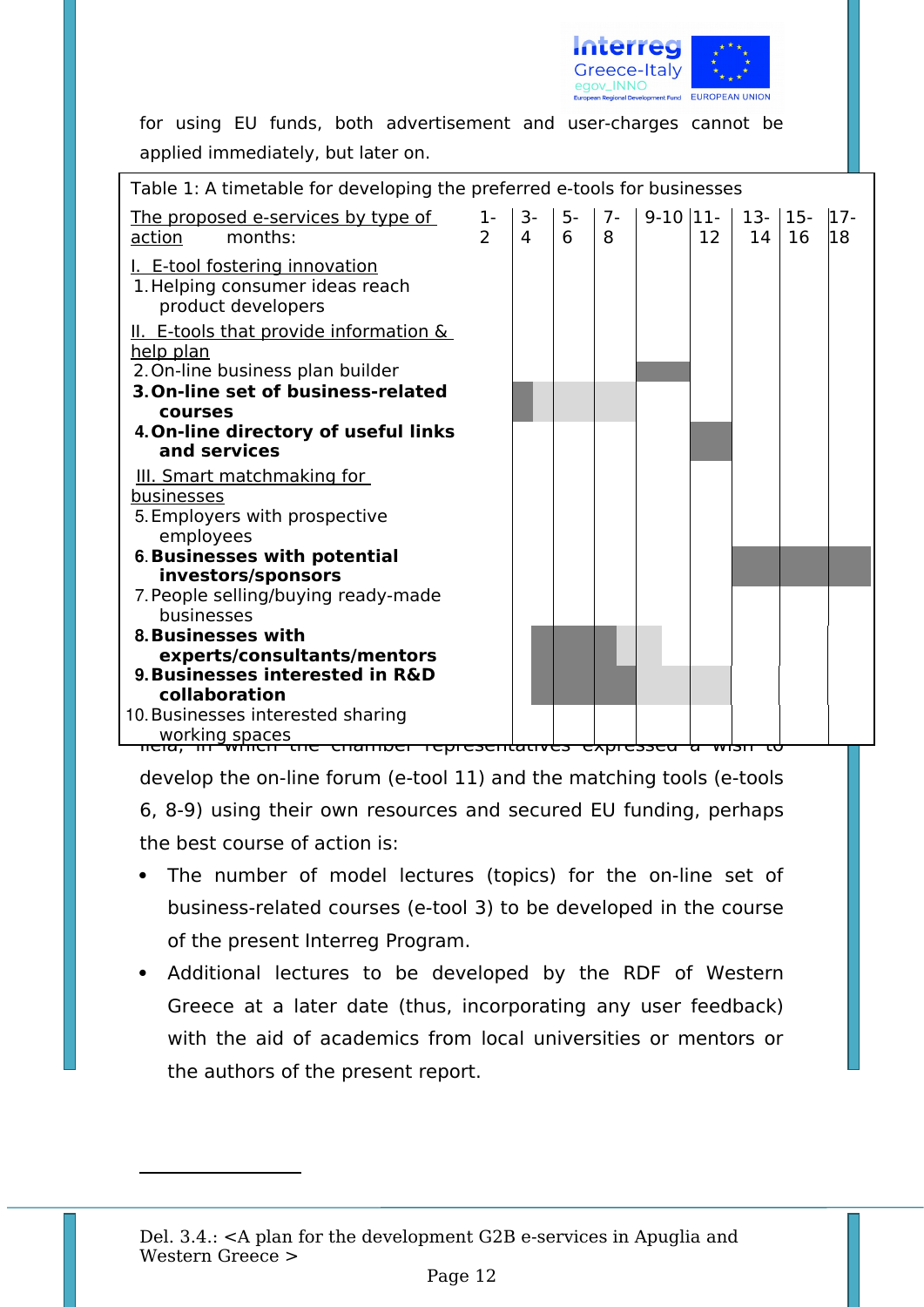

for using EU funds, both advertisement and user-charges cannot be applied immediately, but later on.

| Table 1: A timetable for developing the preferred e-tools for businesses                                                |                                  |         |           |           |             |                   |                 |    |              |
|-------------------------------------------------------------------------------------------------------------------------|----------------------------------|---------|-----------|-----------|-------------|-------------------|-----------------|----|--------------|
| The proposed e-services by type of<br>action<br>months:                                                                 | $1-$<br>$\overline{\phantom{0}}$ | 3-<br>4 | $5-$<br>6 | $7-$<br>8 | $9-10$  11- | 12                | $13 - 15$<br>14 | 16 | $ 17-$<br>18 |
| I. E-tool fostering innovation<br>1. Helping consumer ideas reach<br>product developers                                 |                                  |         |           |           |             |                   |                 |    |              |
| II. E-tools that provide information &<br>help plan<br>2. On-line business plan builder                                 |                                  |         |           |           |             |                   |                 |    |              |
| 3. On-line set of business-related<br>courses                                                                           |                                  |         |           |           |             |                   |                 |    |              |
| 4. On-line directory of useful links<br>and services                                                                    |                                  |         |           |           |             |                   |                 |    |              |
| <b>III. Smart matchmaking for</b><br>businesses<br>5. Employers with prospective<br>employees                           |                                  |         |           |           |             |                   |                 |    |              |
| <b>6. Businesses with potential</b>                                                                                     |                                  |         |           |           |             |                   |                 |    |              |
| investors/sponsors<br>7. People selling/buying ready-made<br>businesses                                                 |                                  |         |           |           |             |                   |                 |    |              |
| 8. Businesses with                                                                                                      |                                  |         |           |           |             |                   |                 |    |              |
| experts/consultants/mentors                                                                                             |                                  |         |           |           |             |                   |                 |    |              |
| 9. Businesses interested in R&D                                                                                         |                                  |         |           |           |             |                   |                 |    |              |
| collaboration                                                                                                           |                                  |         |           |           |             |                   |                 |    |              |
| 10. Businesses interested sharing<br>working spaces<br><del>which the champer representatives expressed</del><br>litia, |                                  |         |           |           |             | <del>a wish</del> |                 |    |              |

develop the on-line forum (e-tool 11) and the matching tools (e-tools 6, 8-9) using their own resources and secured EU funding, perhaps the best course of action is:

- The number of model lectures (topics) for the on-line set of business-related courses (e-tool 3) to be developed in the course of the present Interreg Program.
- Additional lectures to be developed by the RDF of Western Greece at a later date (thus, incorporating any user feedback) with the aid of academics from local universities or mentors or the authors of the present report.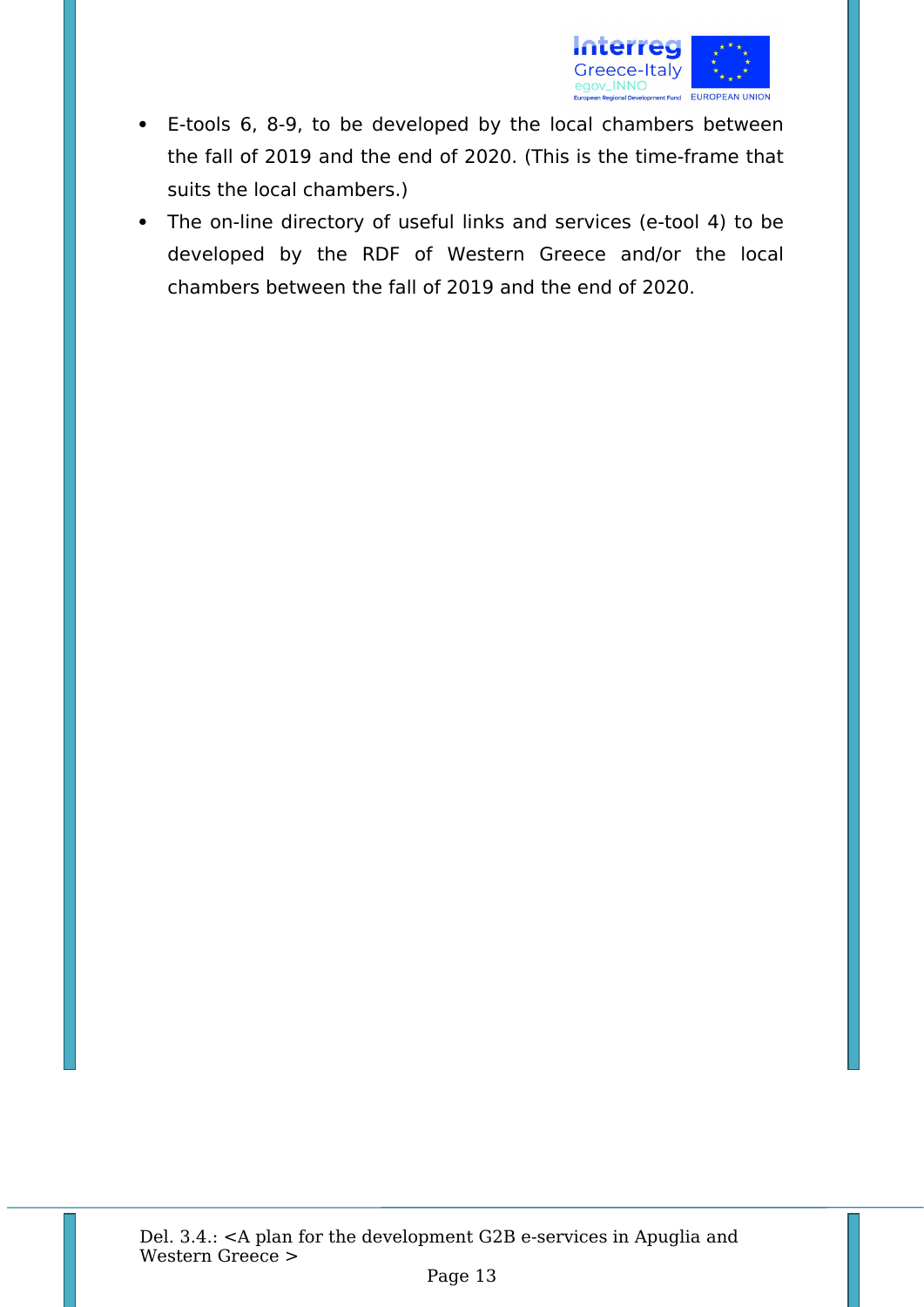

- E-tools 6, 8-9, to be developed by the local chambers between the fall of 2019 and the end of 2020. (This is the time-frame that suits the local chambers.)
- The on-line directory of useful links and services (e-tool 4) to be developed by the RDF of Western Greece and/or the local chambers between the fall of 2019 and the end of 2020.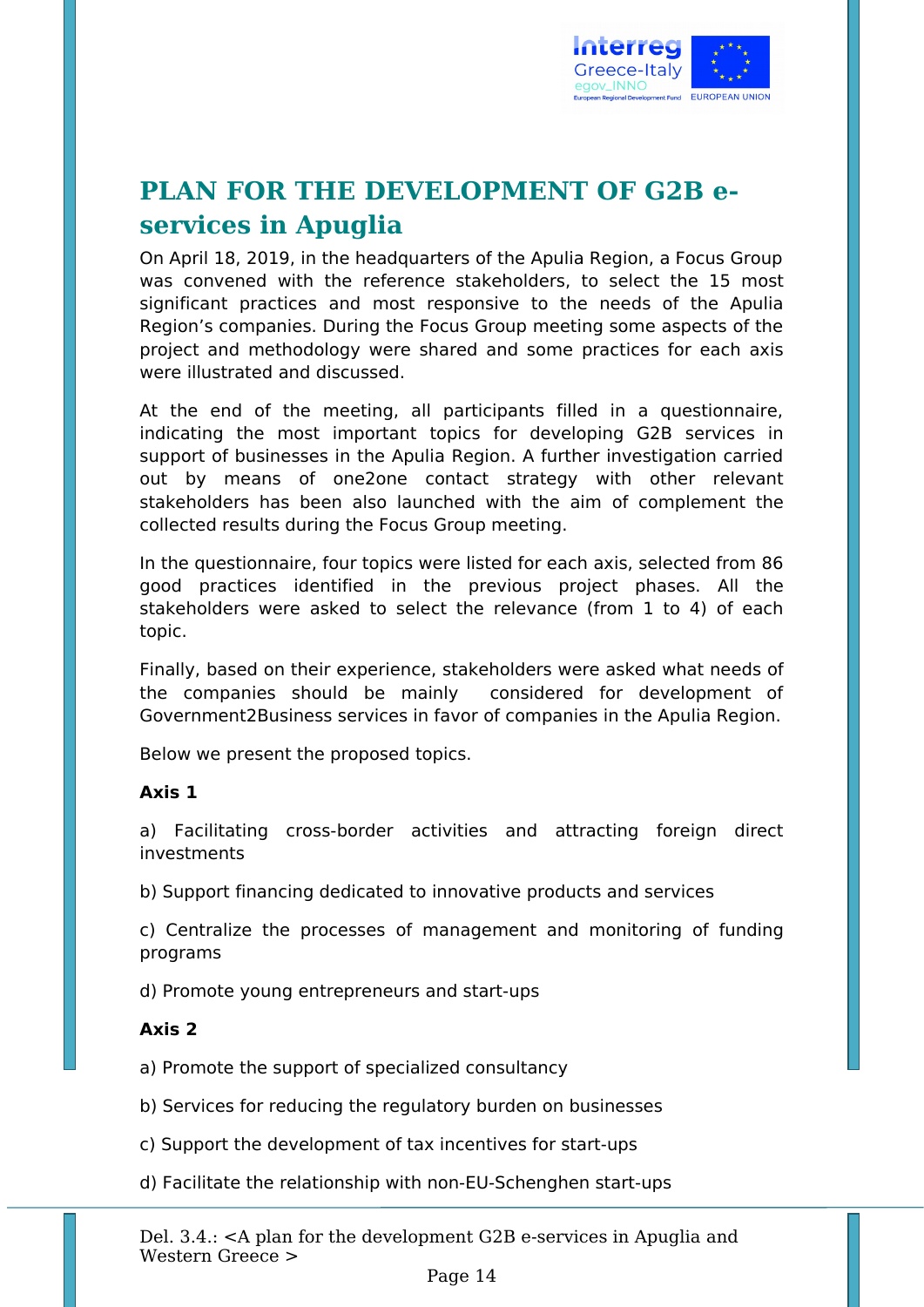

## <span id="page-13-0"></span>**PLAN FOR THE DEVELOPMENT OF G2B eservices in Apuglia**

On April 18, 2019, in the headquarters of the Apulia Region, a Focus Group was convened with the reference stakeholders, to select the 15 most significant practices and most responsive to the needs of the Apulia Region's companies. During the Focus Group meeting some aspects of the project and methodology were shared and some practices for each axis were illustrated and discussed.

At the end of the meeting, all participants filled in a questionnaire, indicating the most important topics for developing G2B services in support of businesses in the Apulia Region. A further investigation carried out by means of one2one contact strategy with other relevant stakeholders has been also launched with the aim of complement the collected results during the Focus Group meeting.

In the questionnaire, four topics were listed for each axis, selected from 86 good practices identified in the previous project phases. All the stakeholders were asked to select the relevance (from 1 to 4) of each topic.

Finally, based on their experience, stakeholders were asked what needs of the companies should be mainly considered for development of Government2Business services in favor of companies in the Apulia Region.

Below we present the proposed topics.

#### **Axis 1**

a) Facilitating cross-border activities and attracting foreign direct investments

b) Support financing dedicated to innovative products and services

c) Centralize the processes of management and monitoring of funding programs

d) Promote young entrepreneurs and start-ups

#### **Axis 2**

a) Promote the support of specialized consultancy

b) Services for reducing the regulatory burden on businesses

c) Support the development of tax incentives for start-ups

d) Facilitate the relationship with non-EU-Schenghen start-ups

Del. 3.4.: <A plan for the development G2B e-services in Apuglia and Western Greece >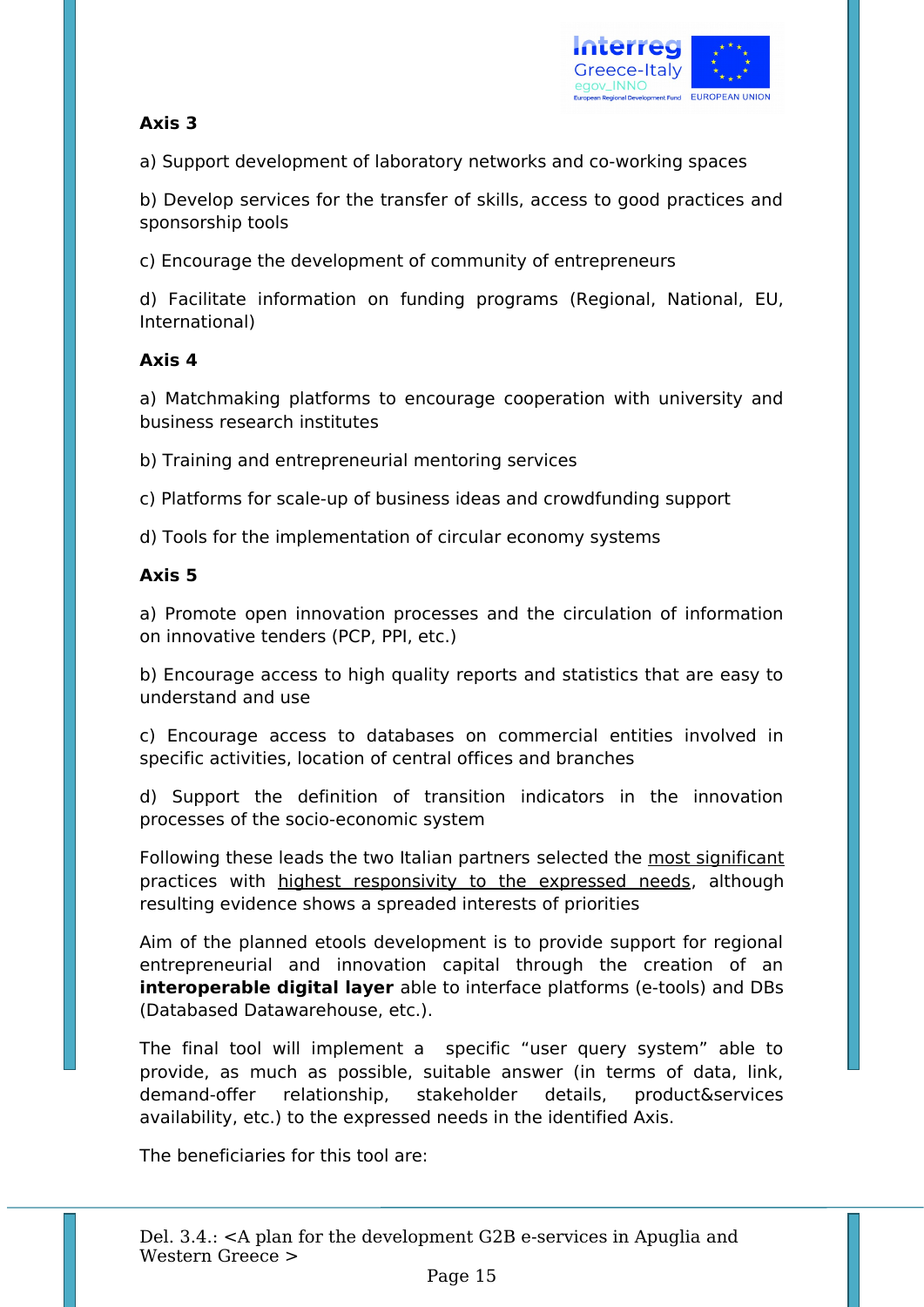

### **Axis 3**

a) Support development of laboratory networks and co-working spaces

b) Develop services for the transfer of skills, access to good practices and sponsorship tools

c) Encourage the development of community of entrepreneurs

d) Facilitate information on funding programs (Regional, National, EU, International)

### **Axis 4**

a) Matchmaking platforms to encourage cooperation with university and business research institutes

b) Training and entrepreneurial mentoring services

c) Platforms for scale-up of business ideas and crowdfunding support

d) Tools for the implementation of circular economy systems

### **Axis 5**

a) Promote open innovation processes and the circulation of information on innovative tenders (PCP, PPI, etc.)

b) Encourage access to high quality reports and statistics that are easy to understand and use

c) Encourage access to databases on commercial entities involved in specific activities, location of central offices and branches

d) Support the definition of transition indicators in the innovation processes of the socio-economic system

Following these leads the two Italian partners selected the most significant practices with highest responsivity to the expressed needs, although resulting evidence shows a spreaded interests of priorities

Aim of the planned etools development is to provide support for regional entrepreneurial and innovation capital through the creation of an **interoperable digital layer** able to interface platforms (e-tools) and DBs (Databased Datawarehouse, etc.).

The final tool will implement a specific "user query system" able to provide, as much as possible, suitable answer (in terms of data, link, demand-offer relationship, stakeholder details, product&services availability, etc.) to the expressed needs in the identified Axis.

The beneficiaries for this tool are: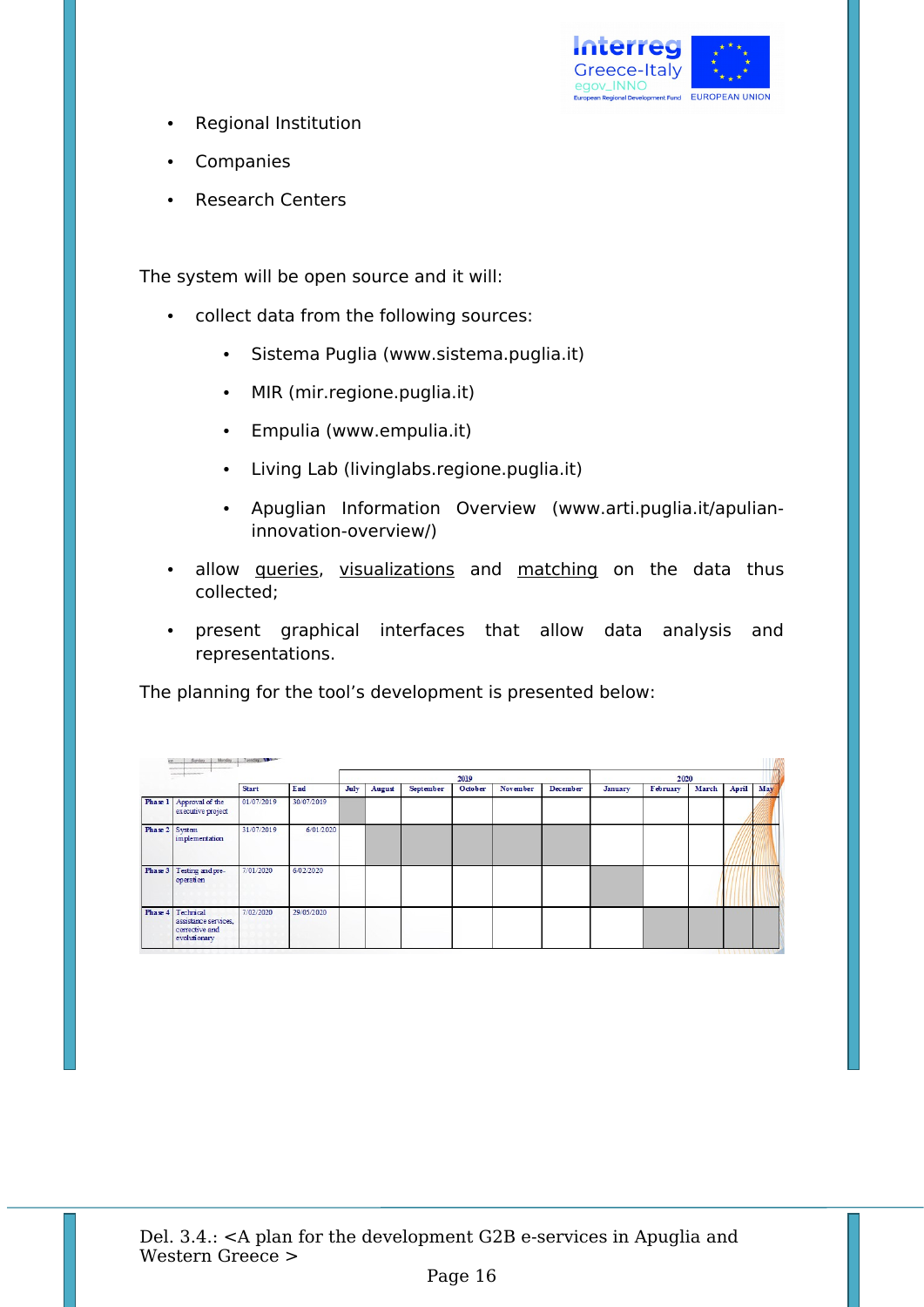

- Regional Institution
- Companies
- Research Centers

The system will be open source and it will:

- collect data from the following sources:
	- Sistema Puglia (www.sistema.puglia.it)
	- MIR (mir.regione.puglia.it)
	- Empulia (www.empulia.it)
	- Living Lab (livinglabs.regione.puglia.it)
	- Apuglian Information Overview (www.arti.puglia.it/apulianinnovation-overview/)
- allow queries, visualizations and matching on the data thus collected;
- present graphical interfaces that allow data analysis and representations.

The planning for the tool's development is presented below:

| ion            | Sunday.                                                             | Monday   Tuesday   Dem- |            |      |        |           |         |          |                 |         |          |       |       |     |
|----------------|---------------------------------------------------------------------|-------------------------|------------|------|--------|-----------|---------|----------|-----------------|---------|----------|-------|-------|-----|
|                | <b>CONTRACTOR</b>                                                   |                         |            |      |        |           | 2019    | 2020     |                 |         |          |       |       |     |
|                |                                                                     | <b>Start</b>            | End        | July | August | September | October | November | <b>December</b> | January | February | March | April | May |
| Phase 1        | Approval of the<br>executive project                                | 01/07/2019              | 30/07/2019 |      |        |           |         |          |                 |         |          |       |       |     |
| Phase 2 System | implementation                                                      | 31/07/2019              | 6/01/2020  |      |        |           |         |          |                 |         |          |       |       |     |
| Phase 3        | Testing and pre-<br>operation                                       | 7/01/2020               | 6/02/2020  |      |        |           |         |          |                 |         |          |       |       |     |
| Phase 4        | Technical<br>assistance services,<br>corrective and<br>evolutionary | 7/02/2020               | 29/05/2020 |      |        |           |         |          |                 |         |          |       |       |     |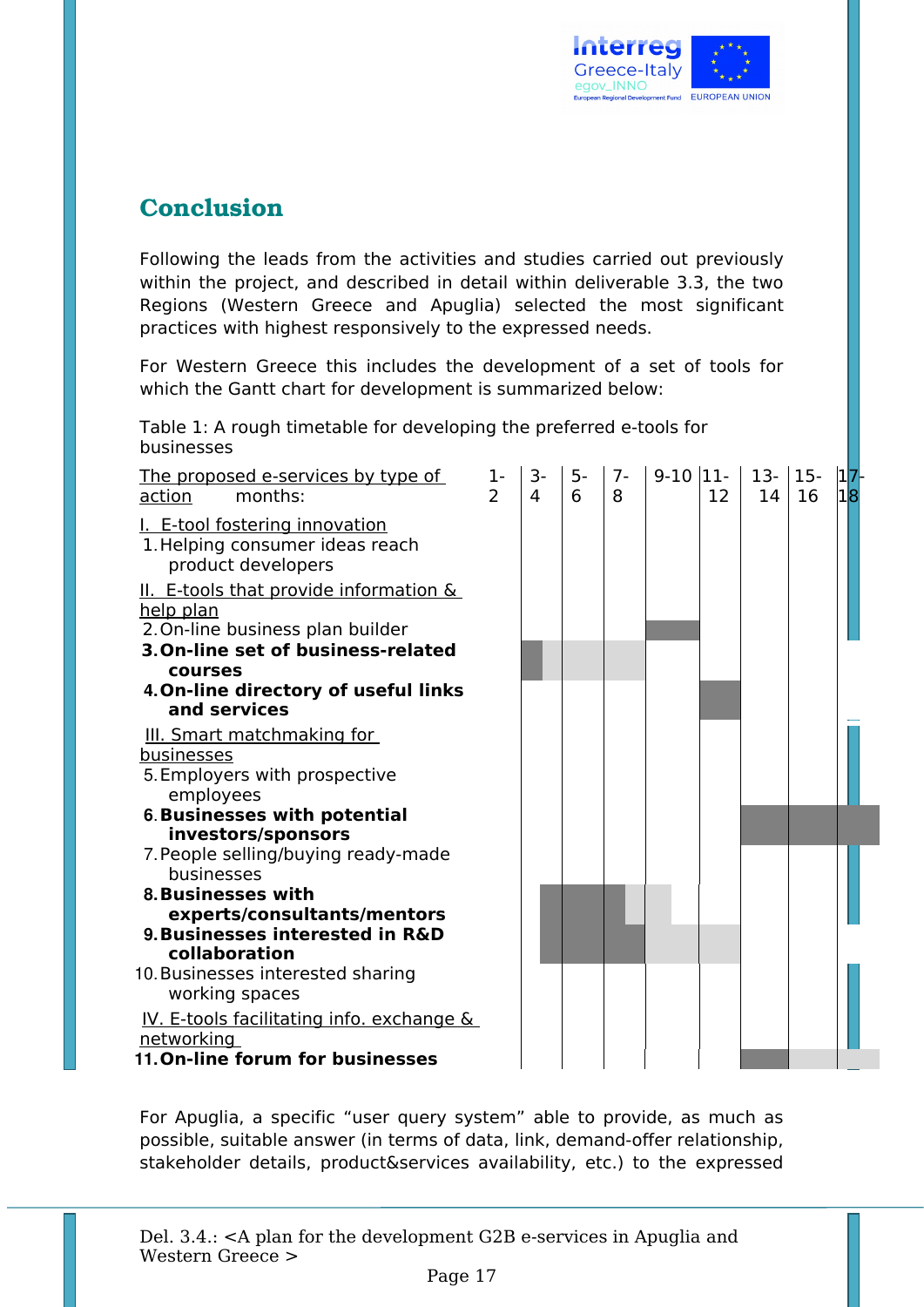

### <span id="page-16-0"></span>Conclusion

Following the leads from the activities and studies carried out previously within the project, and described in detail within deliverable 3.3, the two Regions (Western Greece and Apuglia) selected the most significant practices with highest responsively to the expressed needs.

For Western Greece this includes the development of a set of tools for which the Gantt chart for development is summarized below:

Table 1: A rough timetable for developing the preferred e-tools for businesses

| The proposed e-services by type of<br>action<br>months:                                 | 1-<br>$\overline{2}$ | 3-<br>4 | $5-$<br>6 | $7-$<br>8 | $9-10$  11- | 12 | $13 - 15$<br>14 | 16 | 18 |
|-----------------------------------------------------------------------------------------|----------------------|---------|-----------|-----------|-------------|----|-----------------|----|----|
| I. E-tool fostering innovation<br>1. Helping consumer ideas reach<br>product developers |                      |         |           |           |             |    |                 |    |    |
| II. E-tools that provide information &<br>help plan                                     |                      |         |           |           |             |    |                 |    |    |
| 2. On-line business plan builder<br>3. On-line set of business-related<br>courses       |                      |         |           |           |             |    |                 |    |    |
| 4. On-line directory of useful links<br>and services                                    |                      |         |           |           |             |    |                 |    |    |
| <b>III. Smart matchmaking for</b><br>businesses                                         |                      |         |           |           |             |    |                 |    |    |
| 5. Employers with prospective<br>employees                                              |                      |         |           |           |             |    |                 |    |    |
| <b>6. Businesses with potential</b><br>investors/sponsors                               |                      |         |           |           |             |    |                 |    |    |
| 7. People selling/buying ready-made<br>businesses                                       |                      |         |           |           |             |    |                 |    |    |
| <b>8. Businesses with</b><br>experts/consultants/mentors                                |                      |         |           |           |             |    |                 |    |    |
| 9. Businesses interested in R&D<br>collaboration                                        |                      |         |           |           |             |    |                 |    |    |
| 10. Businesses interested sharing<br>working spaces                                     |                      |         |           |           |             |    |                 |    |    |
| IV. E-tools facilitating info. exchange &<br>networking                                 |                      |         |           |           |             |    |                 |    |    |
| 11. On-line forum for businesses                                                        |                      |         |           |           |             |    |                 |    |    |

For Apuglia, a specific "user query system" able to provide, as much as possible, suitable answer (in terms of data, link, demand-offer relationship, stakeholder details, product&services availability, etc.) to the expressed